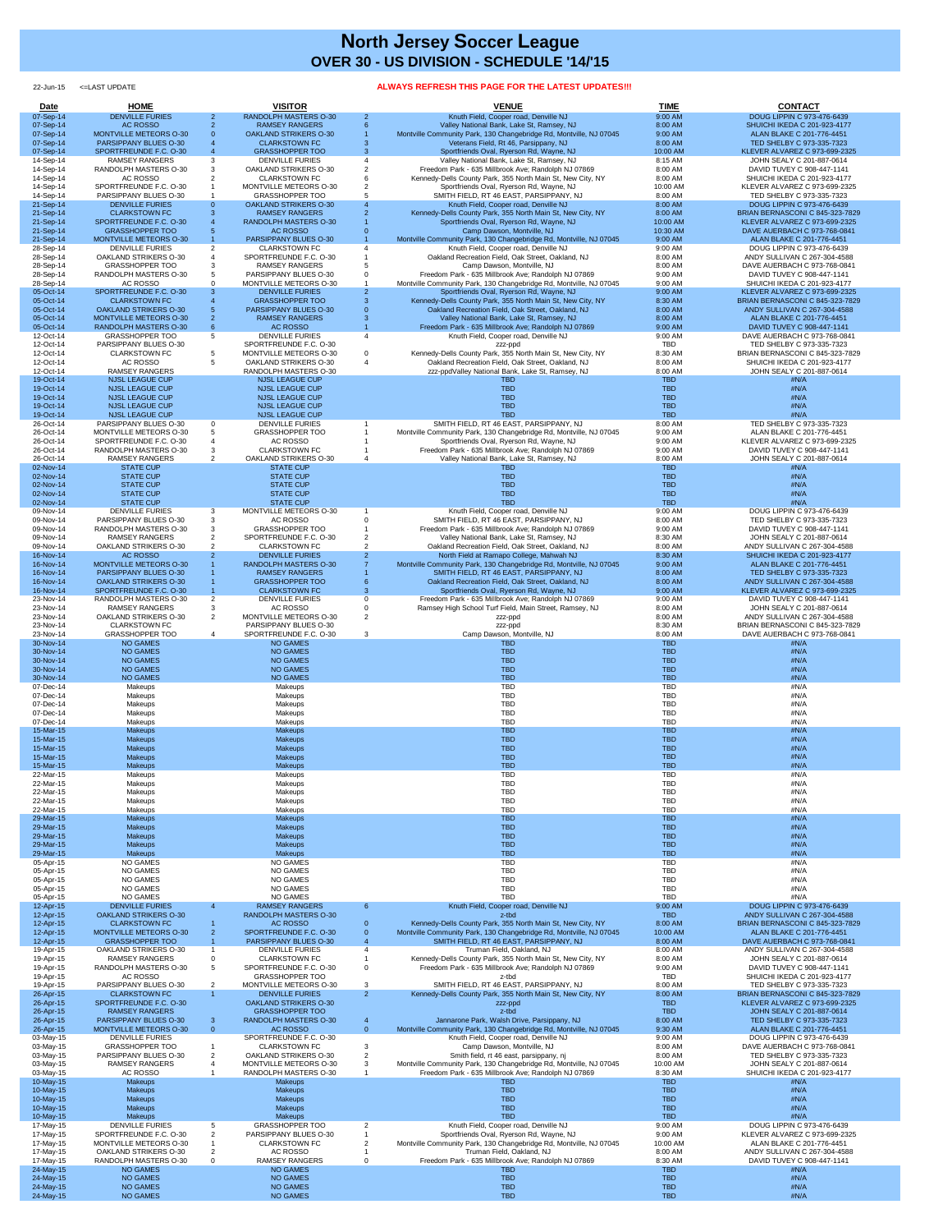## 22-Jun-15 <=LAST UPDATE **ALWAYS REFRESH THIS PAGE FOR THE LATEST UPDATES!!!**

| Date                      | <b>HOME</b>                                             | <b>VISITOR</b>                                                               |                | <b>VENUE</b>                                                                                                              | <b>TIME</b>              | <b>CONTACT</b>                                                   |
|---------------------------|---------------------------------------------------------|------------------------------------------------------------------------------|----------------|---------------------------------------------------------------------------------------------------------------------------|--------------------------|------------------------------------------------------------------|
| 07-Sep-14<br>07-Sep-14    | <b>DENVILLE FURIES</b><br><b>AC ROSSO</b>               | <b>RANDOLPH MASTERS O-30</b><br>2<br>$\overline{2}$<br><b>RAMSEY RANGERS</b> | $\overline{2}$ | Knuth Field, Cooper road, Denville NJ<br>Valley National Bank, Lake St, Ramsey, NJ                                        | 9:00 AM<br>8:00 AM       | DOUG LIPPIN C 973-476-6439<br>SHUICHI IKEDA C 201-923-4177       |
| 07-Sep-14                 | <b>MONTVILLE METEORS O-30</b>                           | <b>OAKLAND STRIKERS O-30</b><br>$\Omega$                                     |                | Montville Community Park, 130 Changebridge Rd, Montville, NJ 07045                                                        | 9:00 AM                  | ALAN BLAKE C 201-776-4451                                        |
| 07-Sep-14                 | <b>PARSIPPANY BLUES O-30</b>                            | <b>CLARKSTOWN FC</b><br><b>GRASSHOPPER TOO</b>                               |                | Veterans Field, Rt 46, Parsippany, NJ                                                                                     | 8:00 AM<br>10:00 AM      | TED SHELBY C 973-335-7323                                        |
| 07-Sep-14<br>14-Sep-14    | SPORTFREUNDE F.C. O-30<br><b>RAMSEY RANGERS</b>         | <b>DENVILLE FURIES</b>                                                       |                | Sportfriends Oval, Ryerson Rd, Wayne, NJ<br>Valley National Bank, Lake St, Ramsey, NJ                                     | 8:15 AM                  | KLEVER ALVAREZ C 973-699-2325<br>JOHN SEALY C 201-887-0614       |
| 14-Sep-14                 | RANDOLPH MASTERS O-30                                   | <b>OAKLAND STRIKERS O-30</b>                                                 |                | Freedom Park - 635 Millbrook Ave; Randolph NJ 07869                                                                       | 8:00 AM                  | DAVID TUVEY C 908-447-1141                                       |
| 14-Sep-14<br>14-Sep-14    | AC ROSSO<br>SPORTFREUNDE F.C. O-30                      | <b>CLARKSTOWN FC</b><br><b>MONTVILLE METEORS O-30</b>                        |                | Kennedy-Dells County Park, 355 North Main St, New City, NY<br>Sportfriends Oval, Ryerson Rd, Wayne, NJ                    | 8:00 AM<br>10:00 AM      | SHUICHI IKEDA C 201-923-4177<br>KLEVER ALVAREZ C 973-699-2325    |
| 14-Sep-14                 | PARSIPPANY BLUES O-30                                   | <b>GRASSHOPPER TOO</b>                                                       |                | SMITH FIELD, RT 46 EAST, PARSIPPANY, NJ                                                                                   | 8:00 AM                  | TED SHELBY C 973-335-7323                                        |
| 21-Sep-14                 | <b>DENVILLE FURIES</b>                                  | <b>OAKLAND STRIKERS O-30</b><br>$\Omega$                                     |                | Knuth Field, Cooper road, Denville NJ                                                                                     | 8:00 AM                  | DOUG LIPPIN C 973-476-6439                                       |
| 21-Sep-14<br>21-Sep-14    | <b>CLARKSTOWN FC</b><br>SPORTFREUNDE F.C. O-30          | <b>RAMSEY RANGERS</b><br>-3<br><b>RANDOLPH MASTERS O-30</b>                  |                | Kennedy-Dells County Park, 355 North Main St, New City, NY<br>Sportfriends Oval, Ryerson Rd, Wayne, NJ                    | 8:00 AM<br>10:00 AM      | BRIAN BERNASCONI C 845-323-7829<br>KLEVER ALVAREZ C 973-699-2325 |
| 21-Sep-14                 | <b>GRASSHOPPER TOO</b>                                  | <b>AC ROSSO</b>                                                              |                | Camp Dawson, Montville, NJ                                                                                                | 10:30 AM                 | DAVE AUERBACH C 973-768-0841                                     |
| 21-Sep-14<br>28-Sep-14    | <b>MONTVILLE METEORS O-30</b><br><b>DENVILLE FURIES</b> | <b>PARSIPPANY BLUES O-30</b><br><b>CLARKSTOWN FC</b>                         |                | Montville Community Park, 130 Changebridge Rd, Montville, NJ 07045<br>Knuth Field, Cooper road, Denville NJ               | 9:00 AM<br>9:00 AM       | ALAN BLAKE C 201-776-4451<br>DOUG LIPPIN C 973-476-6439          |
| 28-Sep-14                 | <b>OAKLAND STRIKERS O-30</b>                            | SPORTFREUNDE F.C. O-30                                                       |                | Oakland Recreation Field, Oak Street, Oakland, NJ                                                                         | 8:00 AM                  | ANDY SULLIVAN C 267-304-4588                                     |
| 28-Sep-14                 | <b>GRASSHOPPER TOO</b>                                  | <b>RAMSEY RANGERS</b>                                                        |                | Camp Dawson, Montville, NJ                                                                                                | 8:00 AM                  | DAVE AUERBACH C 973-768-0841                                     |
| 28-Sep-14<br>28-Sep-14    | RANDOLPH MASTERS O-30<br>AC ROSSO                       | PARSIPPANY BLUES O-30<br>MONTVILLE METEORS O-30                              |                | Freedom Park - 635 Millbrook Ave; Randolph NJ 07869<br>Montville Community Park, 130 Changebridge Rd, Montville, NJ 07045 | 9:00 AM<br>9:00 AM       | DAVID TUVEY C 908-447-1141<br>SHUICHI IKEDA C 201-923-4177       |
| 05-Oct-14                 | SPORTFREUNDE F.C. O-30                                  | 3<br><b>DENVILLE FURIES</b>                                                  | $\overline{2}$ | Sportfriends Oval, Ryerson Rd, Wayne, NJ                                                                                  | 9:00 AM                  | KLEVER ALVAREZ C 973-699-2325                                    |
| 05-Oct-14<br>05-Oct-14    | <b>CLARKSTOWN FC</b><br><b>OAKLAND STRIKERS O-30</b>    | <b>GRASSHOPPER TOO</b><br>PARSIPPANY BLUES O-30                              |                | Kennedy-Dells County Park, 355 North Main St, New City, NY<br>Oakland Recreation Field, Oak Street, Oakland, NJ           | 8:30 AM<br>8:00 AM       | BRIAN BERNASCONI C 845-323-7829<br>ANDY SULLIVAN C 267-304-4588  |
| 05-Oct-14                 | <b>MONTVILLE METEORS O-30</b>                           | <b>RAMSEY RANGERS</b>                                                        |                | Valley National Bank, Lake St, Ramsey, NJ                                                                                 | 8:00 AM                  | ALAN BLAKE C 201-776-4451                                        |
| 05-Oct-14                 | <b>RANDOLPH MASTERS O-30</b>                            | <b>AC ROSSO</b>                                                              |                | Freedom Park - 635 Millbrook Ave; Randolph NJ 07869                                                                       | 9:00 AM                  | DAVID TUVEY C 908-447-1141                                       |
| 12-Oct-14<br>12-Oct-14    | <b>GRASSHOPPER TOO</b><br>PARSIPPANY BLUES O-30         | 5<br><b>DENVILLE FURIES</b><br>SPORTFREUNDE F.C. O-30                        |                | Knuth Field, Cooper road, Denville NJ<br>zzz-ppd                                                                          | 9:00 AM<br><b>TBD</b>    | DAVE AUERBACH C 973-768-0841<br>TED SHELBY C 973-335-7323        |
| 12-Oct-14                 | <b>CLARKSTOWN FC</b>                                    | 5<br><b>MONTVILLE METEORS O-30</b>                                           |                | Kennedy-Dells County Park, 355 North Main St, New City, NY                                                                | 8:30 AM                  | BRIAN BERNASCONI C 845-323-7829                                  |
| 12-Oct-14<br>12-Oct-14    | AC ROSSO<br><b>RAMSEY RANGERS</b>                       | 5<br><b>OAKLAND STRIKERS O-30</b><br><b>RANDOLPH MASTERS O-30</b>            |                | Oakland Recreation Field, Oak Street, Oakland, NJ<br>zzz-ppdValley National Bank, Lake St, Ramsey, NJ                     | 8:00 AM<br>8:00 AM       | SHUICHI IKEDA C 201-923-4177<br>JOHN SEALY C 201-887-0614        |
| 19-Oct-14                 | <b>NJSL LEAGUE CUP</b>                                  | <b>NJSL LEAGUE CUP</b>                                                       |                | <b>TBD</b>                                                                                                                | <b>TBD</b>               | #N/A                                                             |
| 19-Oct-14                 | <b>NJSL LEAGUE CUP</b>                                  | <b>NJSL LEAGUE CUP</b>                                                       |                | <b>TBD</b>                                                                                                                | <b>TBD</b>               | #N/A                                                             |
| 19-Oct-14<br>19-Oct-14    | <b>NJSL LEAGUE CUP</b><br><b>NJSL LEAGUE CUP</b>        | <b>NJSL LEAGUE CUP</b><br><b>NJSL LEAGUE CUP</b>                             |                | <b>TBD</b><br><b>TBD</b>                                                                                                  | <b>TBD</b><br><b>TBD</b> | #N/A<br>#N/A                                                     |
| 19-Oct-14                 | <b>NJSL LEAGUE CUP</b>                                  | <b>NJSL LEAGUE CUP</b>                                                       |                | <b>TBD</b>                                                                                                                | <b>TBD</b>               | #N/A                                                             |
| $26$ -Oct-14<br>26-Oct-14 | PARSIPPANY BLUES O-30<br><b>MONTVILLE METEORS O-30</b>  | <b>DENVILLE FURIES</b><br><b>GRASSHOPPER TOO</b>                             |                | SMITH FIELD, RT 46 EAST, PARSIPPANY, NJ<br>Montville Community Park, 130 Changebridge Rd, Montville, NJ 07045             | 8:00 AM<br>9:00 AM       | TED SHELBY C 973-335-7323<br>ALAN BLAKE C 201-776-4451           |
| 26-Oct-14                 | SPORTFREUNDE F.C. O-30                                  | AC ROSSO                                                                     |                | Sportfriends Oval, Ryerson Rd, Wayne, NJ                                                                                  | 9:00 AM                  | KLEVER ALVAREZ C 973-699-2325                                    |
| 26-Oct-14                 | RANDOLPH MASTERS O-30                                   | <b>CLARKSTOWN FC</b>                                                         |                | Freedom Park - 635 Millbrook Ave; Randolph NJ 07869                                                                       | 9:00 AM                  | DAVID TUVEY C 908-447-1141                                       |
| 26-Oct-14<br>02-Nov-14    | <b>RAMSEY RANGERS</b><br><b>STATE CUP</b>               | 2<br><b>OAKLAND STRIKERS O-30</b><br><b>STATE CUP</b>                        |                | Valley National Bank, Lake St, Ramsey, NJ<br><b>TBD</b>                                                                   | 8:00 AM<br><b>TBD</b>    | JOHN SEALY C 201-887-0614<br>#N/A                                |
| 02-Nov-14                 | <b>STATE CUP</b>                                        | <b>STATE CUP</b>                                                             |                | <b>TBD</b>                                                                                                                | <b>TBD</b>               | #N/A                                                             |
| 02-Nov-14<br>02-Nov-14    | <b>STATE CUP</b><br><b>STATE CUP</b>                    | <b>STATE CUP</b><br><b>STATE CUP</b>                                         |                | <b>TBD</b><br><b>TBD</b>                                                                                                  | <b>TBD</b><br><b>TBD</b> | #N/A<br>#N/A                                                     |
| 02-Nov-14                 | <b>STATE CUP</b>                                        | <b>STATE CUP</b>                                                             |                | <b>TBD</b>                                                                                                                | <b>TBD</b>               | #N/A                                                             |
| 09-Nov-14                 | <b>DENVILLE FURIES</b>                                  | MONTVILLE METEORS O-30<br>3                                                  |                | Knuth Field, Cooper road, Denville NJ                                                                                     | 9:00 AM                  | DOUG LIPPIN C 973-476-6439                                       |
| 09-Nov-14<br>09-Nov-14    | PARSIPPANY BLUES O-30<br>RANDOLPH MASTERS O-30          | 3<br>AC ROSSO<br>3<br><b>GRASSHOPPER TOO</b>                                 |                | SMITH FIELD, RT 46 EAST, PARSIPPANY, NJ<br>Freedom Park - 635 Millbrook Ave; Randolph NJ 07869                            | 8:00 AM<br>9:00 AM       | TED SHELBY C 973-335-7323<br>DAVID TUVEY C 908-447-1141          |
| 09-Nov-14                 | <b>RAMSEY RANGERS</b>                                   | SPORTFREUNDE F.C. O-30                                                       |                | Valley National Bank, Lake St, Ramsey, NJ                                                                                 | 8:30 AM                  | JOHN SEALY C 201-887-0614                                        |
| 09-Nov-14<br>16-Nov-14    | <b>OAKLAND STRIKERS O-30</b><br><b>AC ROSSO</b>         | <b>CLARKSTOWN FC</b><br><b>DENVILLE FURIES</b>                               |                | Oakland Recreation Field, Oak Street, Oakland, NJ<br>North Field at Ramapo College, Mahwah NJ                             | 8:00 AM<br>8:30 AM       | ANDY SULLIVAN C 267-304-4588<br>SHUICHI IKEDA C 201-923-4177     |
| 16-Nov-14                 | <b>MONTVILLE METEORS O-30</b>                           | RANDOLPH MASTERS O-30                                                        |                | Montville Community Park, 130 Changebridge Rd, Montville, NJ 07045                                                        | 9:00 AM                  | ALAN BLAKE C 201-776-4451                                        |
| 16-Nov-14                 | PARSIPPANY BLUES O-30                                   | <b>RAMSEY RANGERS</b>                                                        |                | SMITH FIELD, RT 46 EAST, PARSIPPANY, NJ                                                                                   | 8:00 AM                  | TED SHELBY C 973-335-7323                                        |
| 16-Nov-14<br>16-Nov-14    | <b>OAKLAND STRIKERS O-30</b><br>SPORTFREUNDE F.C. O-30  | <b>GRASSHOPPER TOO</b><br><b>CLARKSTOWN FC</b>                               | 3              | Oakland Recreation Field, Oak Street, Oakland, NJ<br>Sportfriends Oval, Ryerson Rd, Wayne, NJ                             | 8:00 AM<br>9:00 AM       | ANDY SULLIVAN C 267-304-4588<br>KLEVER ALVAREZ C 973-699-2325    |
| 23-Nov-14                 | RANDOLPH MASTERS O-30                                   | $\overline{2}$<br><b>DENVILLE FURIES</b>                                     | $\Omega$       | Freedom Park - 635 Millbrook Ave; Randolph NJ 07869                                                                       | 9:00 AM                  | DAVID TUVEY C 908-447-1141                                       |
| 23-Nov-14                 | <b>RAMSEY RANGERS</b>                                   | AC ROSSO<br>3                                                                |                | Ramsey High School Turf Field, Main Street, Ramsey, NJ                                                                    | 8:00 AM                  | JOHN SEALY C 201-887-0614                                        |
| 23-Nov-14<br>23-Nov-14    | <b>OAKLAND STRIKERS O-30</b><br><b>CLARKSTOWN FC</b>    | $\overline{2}$<br>MONTVILLE METEORS O-30<br>PARSIPPANY BLUES O-30            |                | zzz-ppd<br>zzz-ppd                                                                                                        | 8:00 AM<br>8:30 AM       | ANDY SULLIVAN C 267-304-4588<br>BRIAN BERNASCONI C 845-323-7829  |
| 23-Nov-14                 | <b>GRASSHOPPER TOO</b>                                  | SPORTFREUNDE F.C. O-30<br>4                                                  | 3              | Camp Dawson, Montville, NJ                                                                                                | 8:00 AM                  | DAVE AUERBACH C 973-768-0841                                     |
| 30-Nov-14<br>30-Nov-14    | <b>NO GAMES</b><br><b>NO GAMES</b>                      | <b>NO GAMES</b><br><b>NO GAMES</b>                                           |                | <b>TBD</b><br><b>TBD</b>                                                                                                  | <b>TBD</b><br><b>TBD</b> | #N/A<br>#N/A                                                     |
| 30-Nov-14                 | <b>NO GAMES</b>                                         | <b>NO GAMES</b>                                                              |                | <b>TBD</b>                                                                                                                | <b>TBD</b>               | #N/A                                                             |
| 30-Nov-14                 | <b>NO GAMES</b>                                         | <b>NO GAMES</b>                                                              |                | <b>TBD</b>                                                                                                                | <b>TBD</b>               | #N/A                                                             |
| 30-Nov-14<br>07-Dec-14    | <b>NO GAMES</b><br>Makeups                              | <b>NO GAMES</b><br>Makeups                                                   |                | <b>TBD</b><br><b>TBD</b>                                                                                                  | <b>TBD</b><br><b>TBD</b> | #N/A<br>#N/A                                                     |
| 07-Dec-14                 | Makeups                                                 | Makeups                                                                      |                | <b>TBD</b>                                                                                                                | <b>TBD</b>               | #N/A                                                             |
| 07-Dec-14<br>07-Dec-14    | Makeups<br>Makeups                                      | Makeups<br>Makeups                                                           |                | <b>TBD</b><br><b>TBD</b>                                                                                                  | <b>TBD</b><br>TBD        | #N/A<br>#N/A                                                     |
| 07-Dec-14                 | Makeups                                                 | Makeups                                                                      |                | <b>TBD</b>                                                                                                                | <b>TBD</b>               | #N/A                                                             |
| 15-Mar-15                 | <b>Makeups</b>                                          | <b>Makeups</b>                                                               |                | <b>TBD</b>                                                                                                                | <b>TBD</b>               | #N/A                                                             |
| 15-Mar-15<br>15-Mar-15    | <b>Makeups</b><br><b>Makeups</b>                        | <b>Makeups</b><br><b>Makeups</b>                                             |                | <b>TBD</b><br><b>TBD</b>                                                                                                  | <b>TBD</b><br><b>TBD</b> | #N/A<br>#N/A                                                     |
| 15-Mar-15                 | Makeups                                                 | <b>Makeups</b>                                                               |                | <b>TBD</b>                                                                                                                | <b>TBD</b>               | #N/A                                                             |
| 15-Mar-15<br>22-Mar-15    | <b>Makeups</b><br>Makeups                               | <b>Makeups</b><br>Makeups                                                    |                | <b>TBD</b><br><b>TBD</b>                                                                                                  | <b>TBD</b><br><b>TBD</b> | #N/A<br>#N/A                                                     |
| 22-Mar-15                 | Makeups                                                 | Makeups                                                                      |                | <b>TBD</b>                                                                                                                | <b>TBD</b>               | #N/A                                                             |
| 22-Mar-15                 | Makeups                                                 | Makeups                                                                      |                | <b>TBD</b>                                                                                                                | <b>TBD</b>               | #N/A                                                             |
| 22-Mar-15<br>22-Mar-15    | Makeups<br>Makeups                                      | Makeups<br>Makeups                                                           |                | <b>TBD</b><br><b>TBD</b>                                                                                                  | <b>TBD</b><br><b>TBD</b> | #N/A<br>#N/A                                                     |
| 29-Mar-15                 | Makeups                                                 | <b>Makeups</b>                                                               |                | <b>TBD</b>                                                                                                                | <b>TBD</b>               | #N/A                                                             |
| 29-Mar-15<br>29-Mar-15    | Makeups<br><b>Makeups</b>                               | <b>Makeups</b><br><b>Makeups</b>                                             |                | <b>TBD</b><br><b>TBD</b>                                                                                                  | <b>TBD</b><br><b>TBD</b> | #N/A<br>#N/A                                                     |
| 29-Mar-15                 | <b>Makeups</b>                                          | <b>Makeups</b>                                                               |                | <b>TBD</b>                                                                                                                | <b>TBD</b>               | #N/A                                                             |
| 29-Mar-15                 | <b>Makeups</b>                                          | <b>Makeups</b><br><b>NO GAMES</b>                                            |                | <b>TBD</b>                                                                                                                | <b>TBD</b>               | #N/A                                                             |
| 05-Apr-15<br>05-Apr-15    | <b>NO GAMES</b><br><b>NO GAMES</b>                      | <b>NO GAMES</b>                                                              |                | <b>TBD</b><br><b>TBD</b>                                                                                                  | <b>TBD</b><br><b>TBD</b> | #N/A<br>#N/A                                                     |
| 05-Apr-15                 | <b>NO GAMES</b>                                         | <b>NO GAMES</b>                                                              |                | <b>TBD</b>                                                                                                                | <b>TBD</b>               | #N/A                                                             |
| 05-Apr-15<br>05-Apr-15    | <b>NO GAMES</b><br>NO GAMES                             | <b>NO GAMES</b><br><b>NO GAMES</b>                                           |                | <b>TBD</b><br><b>TBD</b>                                                                                                  | <b>TBD</b><br><b>TBD</b> | #N/A<br>#N/A                                                     |
| 12-Apr-15                 | <b>DENVILLE FURIES</b>                                  | <b>RAMSEY RANGERS</b><br>$\overline{4}$                                      | 6              | Knuth Field, Cooper road, Denville NJ                                                                                     | 9:00 AM                  | DOUG LIPPIN C 973-476-6439                                       |
| 12-Apr-15                 | <b>OAKLAND STRIKERS O-30</b><br><b>CLARKSTOWN FC</b>    | <b>RANDOLPH MASTERS O-30</b><br>AC ROSSO                                     |                | z-tbd<br>Kennedy-Dells County Park, 355 North Main St, New City, NY                                                       | <b>TBD</b><br>8:00 AM    | ANDY SULLIVAN C 267-304-4588<br>BRIAN BERNASCONI C 845-323-7829  |
| 12-Apr-15<br>12-Apr-15    | <b>MONTVILLE METEORS O-30</b>                           | SPORTFREUNDE F.C. O-30<br>-2                                                 | 0              | Montville Community Park, 130 Changebridge Rd, Montville, NJ 07045                                                        | 10:00 AM                 | ALAN BLAKE C 201-776-4451                                        |
| 12-Apr-15                 | <b>GRASSHOPPER TOO</b>                                  | PARSIPPANY BLUES O-30                                                        |                | SMITH FIELD, RT 46 EAST, PARSIPPANY, NJ                                                                                   | 8:00 AM                  | DAVE AUERBACH C 973-768-0841                                     |
| 19-Apr-15<br>19-Apr-15    | <b>OAKLAND STRIKERS O-30</b><br><b>RAMSEY RANGERS</b>   | <b>DENVILLE FURIES</b><br><b>CLARKSTOWN FC</b>                               |                | Truman Field, Oakland, NJ<br>Kennedy-Dells County Park, 355 North Main St, New City, NY                                   | 8:00 AM<br>8:00 AM       | ANDY SULLIVAN C 267-304-4588<br>JOHN SEALY C 201-887-0614        |
| 19-Apr-15                 | RANDOLPH MASTERS O-30                                   | 5<br>SPORTFREUNDE F.C. O-30                                                  |                | Freedom Park - 635 Millbrook Ave; Randolph NJ 07869                                                                       | 9:00 AM                  | DAVID TUVEY C 908-447-1141                                       |
| 19-Apr-15<br>19-Apr-15    | AC ROSSO<br>PARSIPPANY BLUES O-30                       | <b>GRASSHOPPER TOO</b><br>MONTVILLE METEORS O-30<br>$\overline{2}$           | 3              | z-tbd<br>SMITH FIELD, RT 46 EAST, PARSIPPANY, NJ                                                                          | TBD<br>8:00 AM           | SHUICHI IKEDA C 201-923-4177<br>TED SHELBY C 973-335-7323        |
| 26-Apr-15                 | <b>CLARKSTOWN FC</b>                                    | $\overline{1}$<br><b>DENVILLE FURIES</b>                                     | 2 <sup>7</sup> | Kennedy-Dells County Park, 355 North Main St, New City, NY                                                                | 8:00 AM                  | BRIAN BERNASCONI C 845-323-7829                                  |
| 26-Apr-15                 | SPORTFREUNDE F.C. O-30                                  | <b>OAKLAND STRIKERS O-30</b>                                                 |                | zzz-ppd                                                                                                                   | <b>TBD</b>               | KLEVER ALVAREZ C 973-699-2325                                    |
| 26-Apr-15<br>26-Apr-15    | <b>RAMSEY RANGERS</b><br>PARSIPPANY BLUES O-30          | <b>GRASSHOPPER TOO</b><br><b>RANDOLPH MASTERS O-30</b><br>3                  |                | z-tbd<br>Jannarone Park, Walsh Drive, Parsippany, NJ                                                                      | <b>TBD</b><br>8:00 AM    | JOHN SEALY C 201-887-0614<br>TED SHELBY C 973-335-7323           |
| 26-Apr-15                 | MONTVILLE METEORS O-30                                  | $\overline{0}$<br><b>AC ROSSO</b>                                            | $\overline{0}$ | Montville Community Park, 130 Changebridge Rd, Montville, NJ 07045                                                        | 9:30 AM                  | ALAN BLAKE C 201-776-4451                                        |
| 03-May-15<br>03-May-15    | <b>DENVILLE FURIES</b><br><b>GRASSHOPPER TOO</b>        | SPORTFREUNDE F.C. O-30<br><b>CLARKSTOWN FC</b>                               |                | Knuth Field, Cooper road, Denville NJ<br>Camp Dawson, Montville, NJ                                                       | 9:00 AM<br>8:00 AM       | DOUG LIPPIN C 973-476-6439<br>DAVE AUERBACH C 973-768-0841       |
| 03-May-15                 | PARSIPPANY BLUES O-30                                   | <b>OAKLAND STRIKERS O-30</b>                                                 |                | Smith field, rt 46 east, parsippany, nj                                                                                   | 8:00 AM                  | TED SHELBY C 973-335-7323                                        |
| 03-May-15                 | <b>RAMSEY RANGERS</b>                                   | MONTVILLE METEORS O-30                                                       |                | Montville Community Park, 130 Changebridge Rd, Montville, NJ 07045                                                        | 10:00 AM                 | JOHN SEALY C 201-887-0614                                        |
| 03-May-15<br>10-May-15    | AC ROSSO<br><b>Makeups</b>                              | RANDOLPH MASTERS O-30<br><b>Makeups</b>                                      |                | Freedom Park - 635 Millbrook Ave; Randolph NJ 07869<br><b>TBD</b>                                                         | 8:30 AM<br><b>TBD</b>    | SHUICHI IKEDA C 201-923-4177<br>#N/A                             |
| 10-May-15                 | <b>Makeups</b>                                          | <b>Makeups</b>                                                               |                | <b>TBD</b>                                                                                                                | <b>TBD</b>               | #N/A                                                             |
| 10-May-15<br>10-May-15    | <b>Makeups</b><br><b>Makeups</b>                        | <b>Makeups</b><br><b>Makeups</b>                                             |                | <b>TBD</b><br><b>TBD</b>                                                                                                  | <b>TBD</b><br><b>TBD</b> | #N/A<br>#N/A                                                     |
| 10-May-15                 | <b>Makeups</b>                                          | <b>Makeups</b>                                                               |                | <b>TBD</b>                                                                                                                | <b>TBD</b>               | #N/A                                                             |
| 17-May-15                 | <b>DENVILLE FURIES</b>                                  | <b>GRASSHOPPER TOO</b>                                                       |                | Knuth Field, Cooper road, Denville NJ                                                                                     | 9:00 AM                  | DOUG LIPPIN C 973-476-6439                                       |
| 17-May-15<br>17-May-15    | SPORTFREUNDE F.C. O-30<br><b>MONTVILLE METEORS O-30</b> | PARSIPPANY BLUES O-30<br><b>CLARKSTOWN FC</b>                                |                | Sportfriends Oval, Ryerson Rd, Wayne, NJ<br>Montville Community Park, 130 Changebridge Rd, Montville, NJ 07045            | 9:00 AM<br>10:00 AM      | KLEVER ALVAREZ C 973-699-2325<br>ALAN BLAKE C 201-776-4451       |
| 17-May-15                 | OAKLAND STRIKERS O-30                                   | AC ROSSO                                                                     |                | Truman Field, Oakland, NJ                                                                                                 | 8:00 AM                  | ANDY SULLIVAN C 267-304-4588                                     |
| 17-May-15<br>24-May-15    | RANDOLPH MASTERS O-30<br><b>NO GAMES</b>                | <b>RAMSEY RANGERS</b><br><b>NO GAMES</b>                                     |                | Freedom Park - 635 Millbrook Ave; Randolph NJ 07869<br><b>TBD</b>                                                         | 8:30 AM<br><b>TBD</b>    | DAVID TUVEY C 908-447-1141<br>#N/A                               |
| 24-May-15                 | <b>NO GAMES</b>                                         | <b>NO GAMES</b>                                                              |                | <b>TBD</b>                                                                                                                | <b>TBD</b>               | #N/A                                                             |
| 24-May-15                 | NO GAMES                                                | <b>NO GAMES</b>                                                              |                | <b>TBD</b>                                                                                                                | <b>TBD</b>               | #N/A                                                             |
| 24-May-15                 | NO GAMES                                                | NO GAMES                                                                     |                | <b>TBD</b>                                                                                                                | <b>TBD</b>               | #N/A                                                             |

## **North Jersey Soccer League OVER 30 - US DIVISION - SCHEDULE '14/'15**